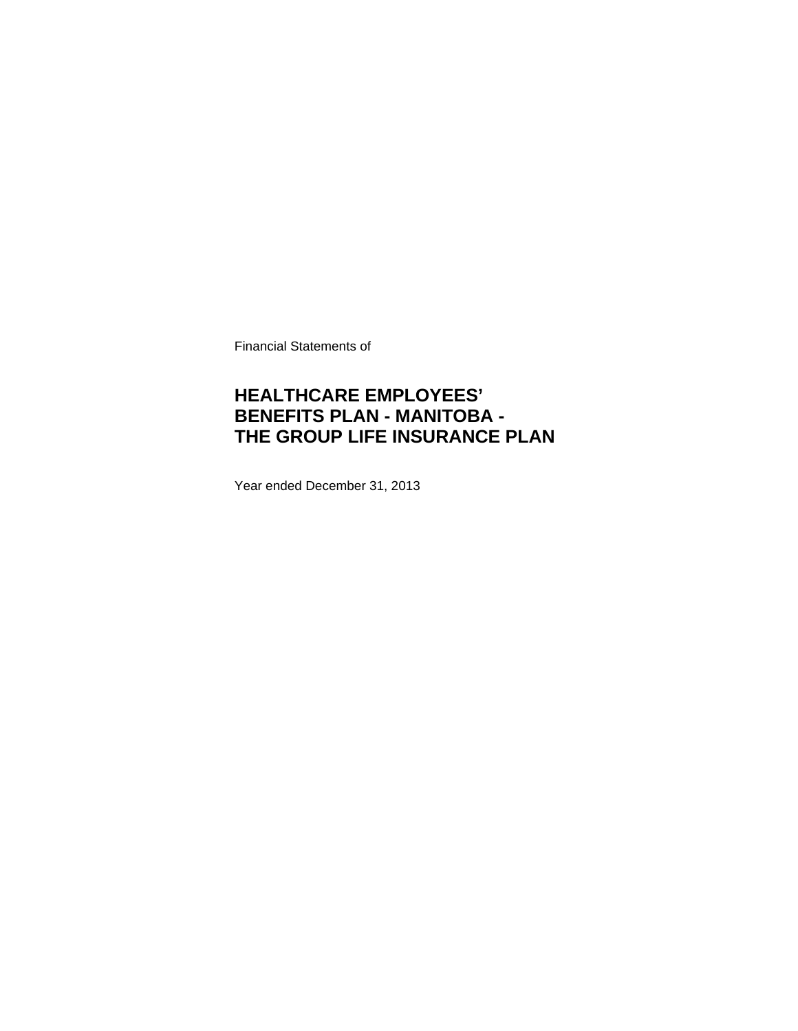Financial Statements of

### **HEALTHCARE EMPLOYEES' BENEFITS PLAN - MANITOBA - THE GROUP LIFE INSURANCE PLAN**

Year ended December 31, 2013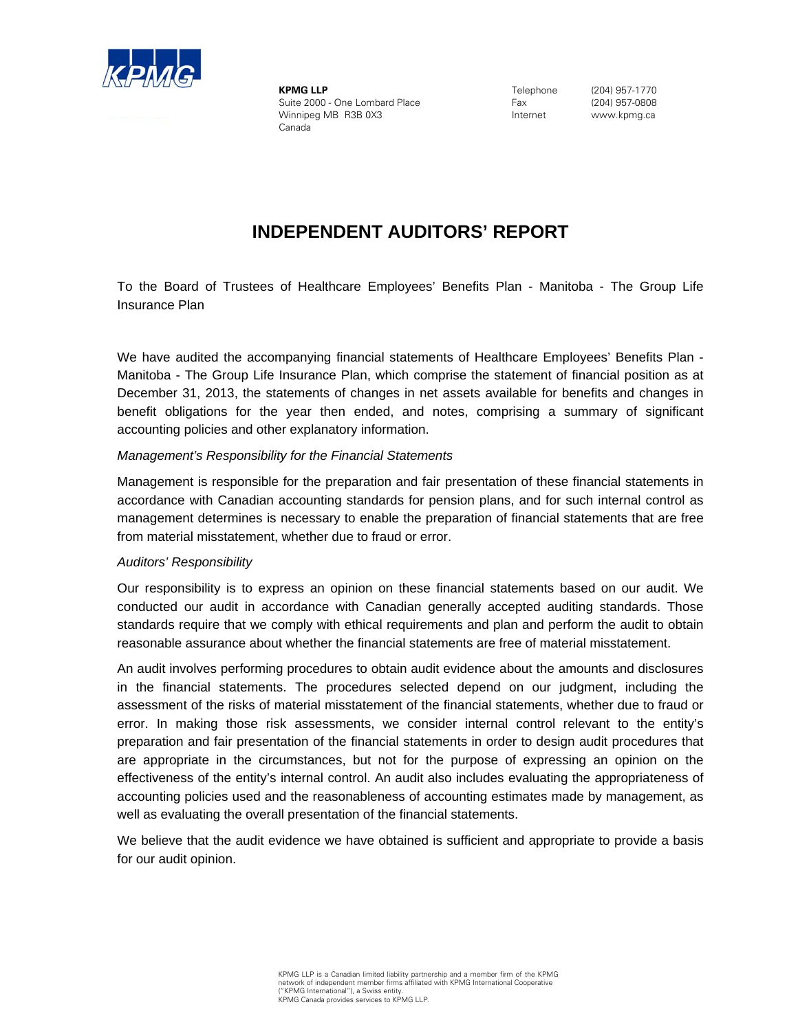

**KPMG LLP** Suite 2000 - One Lombard Place Winnipeg MB R3B 0X3 Canada

Telephone Fax Internet

(204) 957-1770 (204) 957-0808 www.kpmg.ca

### **INDEPENDENT AUDITORS' REPORT**

To the Board of Trustees of Healthcare Employees' Benefits Plan - Manitoba - The Group Life Insurance Plan

We have audited the accompanying financial statements of Healthcare Employees' Benefits Plan -Manitoba - The Group Life Insurance Plan, which comprise the statement of financial position as at December 31, 2013, the statements of changes in net assets available for benefits and changes in benefit obligations for the year then ended, and notes, comprising a summary of significant accounting policies and other explanatory information.

#### *Management's Responsibility for the Financial Statements*

Management is responsible for the preparation and fair presentation of these financial statements in accordance with Canadian accounting standards for pension plans, and for such internal control as management determines is necessary to enable the preparation of financial statements that are free from material misstatement, whether due to fraud or error.

#### *Auditors' Responsibility*

Our responsibility is to express an opinion on these financial statements based on our audit. We conducted our audit in accordance with Canadian generally accepted auditing standards. Those standards require that we comply with ethical requirements and plan and perform the audit to obtain reasonable assurance about whether the financial statements are free of material misstatement.

An audit involves performing procedures to obtain audit evidence about the amounts and disclosures in the financial statements. The procedures selected depend on our judgment, including the assessment of the risks of material misstatement of the financial statements, whether due to fraud or error. In making those risk assessments, we consider internal control relevant to the entity's preparation and fair presentation of the financial statements in order to design audit procedures that are appropriate in the circumstances, but not for the purpose of expressing an opinion on the effectiveness of the entity's internal control. An audit also includes evaluating the appropriateness of accounting policies used and the reasonableness of accounting estimates made by management, as well as evaluating the overall presentation of the financial statements.

We believe that the audit evidence we have obtained is sufficient and appropriate to provide a basis for our audit opinion.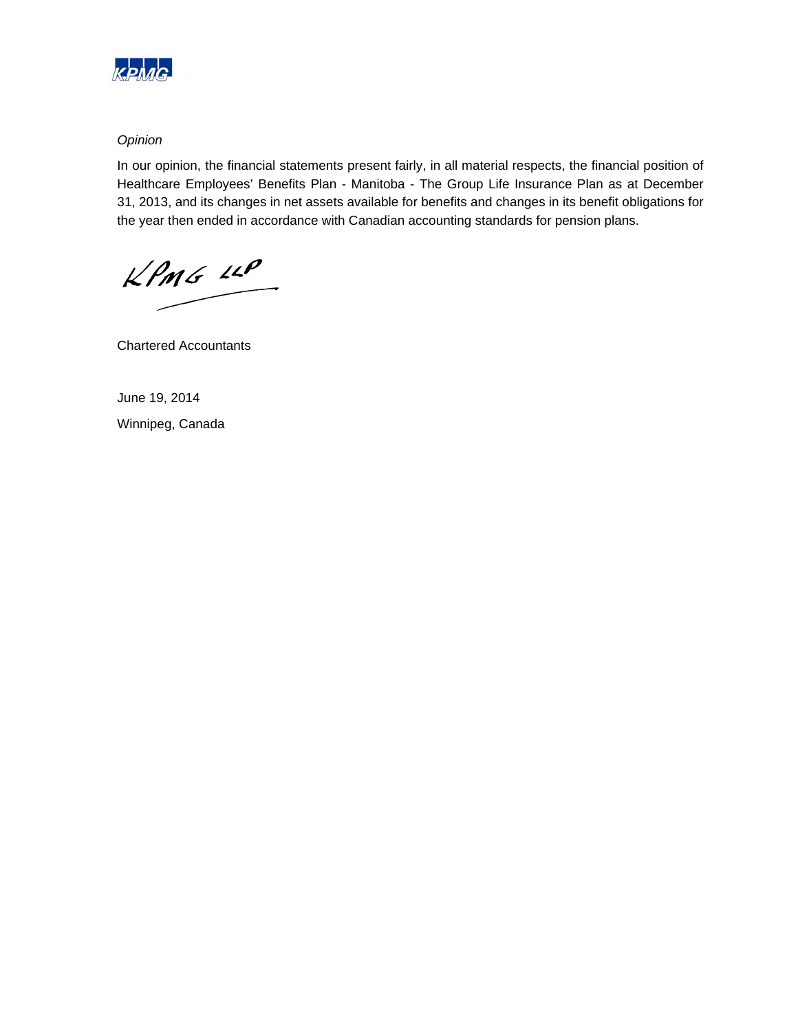

#### *Opinion*

In our opinion, the financial statements present fairly, in all material respects, the financial position of Healthcare Employees' Benefits Plan - Manitoba - The Group Life Insurance Plan as at December 31, 2013, and its changes in net assets available for benefits and changes in its benefit obligations for the year then ended in accordance with Canadian accounting standards for pension plans.

 $KPMG$  14P

Chartered Accountants

June 19, 2014 Winnipeg, Canada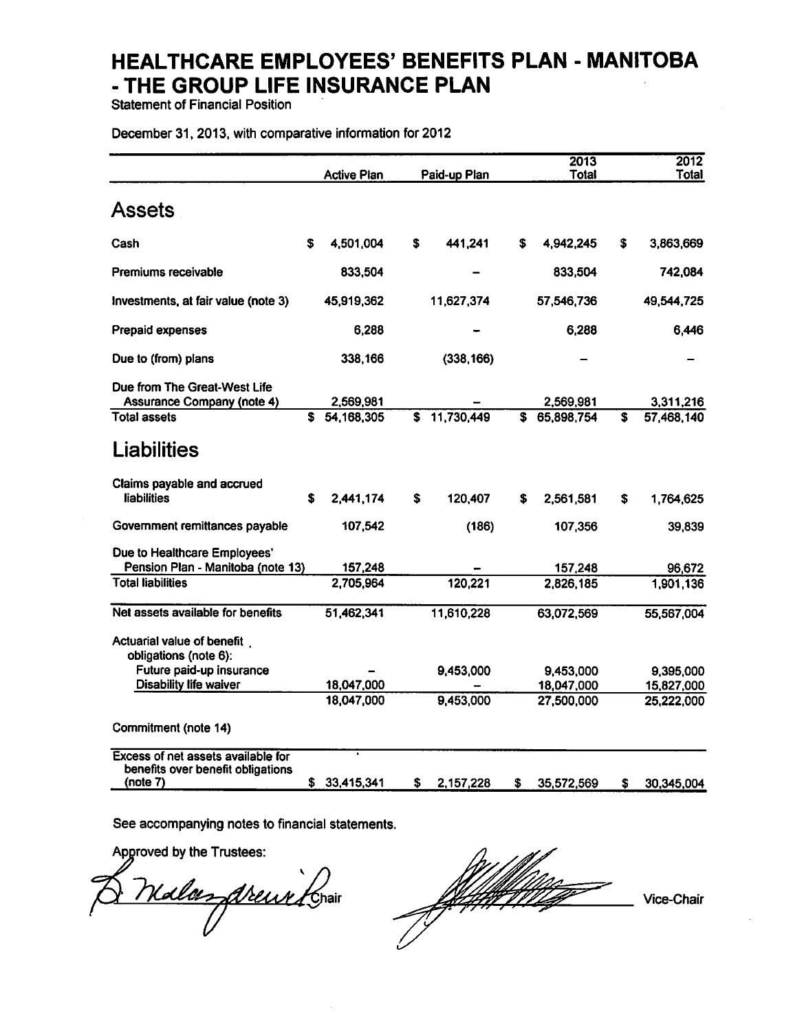**Statement of Financial Position** 

December 31, 2013, with comparative information for 2012

|                                                                         |    | <b>Active Plan</b> |    | Paid-up Plan |   | 2013<br>Total |    | 2012<br>Total |
|-------------------------------------------------------------------------|----|--------------------|----|--------------|---|---------------|----|---------------|
| Assets                                                                  |    |                    |    |              |   |               |    |               |
| Cash                                                                    | S  | 4,501,004          | \$ | 441,241      | S | 4,942,245     | \$ | 3,863,669     |
| <b>Premiums receivable</b>                                              |    | 833,504            |    |              |   | 833,504       |    | 742,084       |
| Investments, at fair value (note 3)                                     |    | 45,919,362         |    | 11,627,374   |   | 57,546,736    |    | 49,544,725    |
| <b>Prepaid expenses</b>                                                 |    | 6,288              |    |              |   | 6,288         |    | 6,446         |
| Due to (from) plans                                                     |    | 338,166            |    | (338, 166)   |   |               |    |               |
| Due from The Great-West Life<br><b>Assurance Company (note 4)</b>       |    | 2,569,981          |    |              |   | 2,569,981     |    | 3,311,216     |
| <b>Total assets</b>                                                     | S. | 54, 168, 305       | S. | 11,730,449   | S | 65,898,754    | S  | 57,468,140    |
| Liabilities                                                             |    |                    |    |              |   |               |    |               |
| Claims payable and accrued<br><b>liabilities</b>                        | S  | 2,441,174          | \$ | 120,407      | S | 2,561,581     | S  | 1,764,625     |
| Government remittances payable                                          |    | 107,542            |    | (186)        |   | 107,356       |    | 39,839        |
| Due to Healthcare Employees'<br>Pension Plan - Manitoba (note 13)       |    | 157,248            |    |              |   | 157,248       |    | 96,672        |
| <b>Total liabilities</b>                                                |    | 2,705,964          |    | 120,221      |   | 2,826,185     |    | 1,901,136     |
| Net assets available for benefits                                       |    | 51,462,341         |    | 11,610,228   |   | 63,072,569    |    | 55,567,004    |
| Actuarial value of benefit.<br>obligations (note 6):                    |    |                    |    |              |   |               |    |               |
| Future paid-up insurance                                                |    |                    |    | 9,453,000    |   | 9,453,000     |    | 9,395,000     |
| Disability life waiver                                                  |    | 18,047,000         |    |              |   | 18,047,000    |    | 15,827,000    |
|                                                                         |    | 18,047,000         |    | 9,453,000    |   | 27,500,000    |    | 25,222,000    |
| Commitment (note 14)                                                    |    |                    |    |              |   |               |    |               |
| Excess of net assets available for<br>benefits over benefit obligations |    |                    |    |              |   |               |    |               |
| (note 7)                                                                | s  | 33,415,341         | \$ | 2,157,228    | s | 35,572,569    | S  | 30.345.004    |

See accompanying notes to financial statements.

Approved by the Trustees: Nalas Areur Konair

Vice-Chair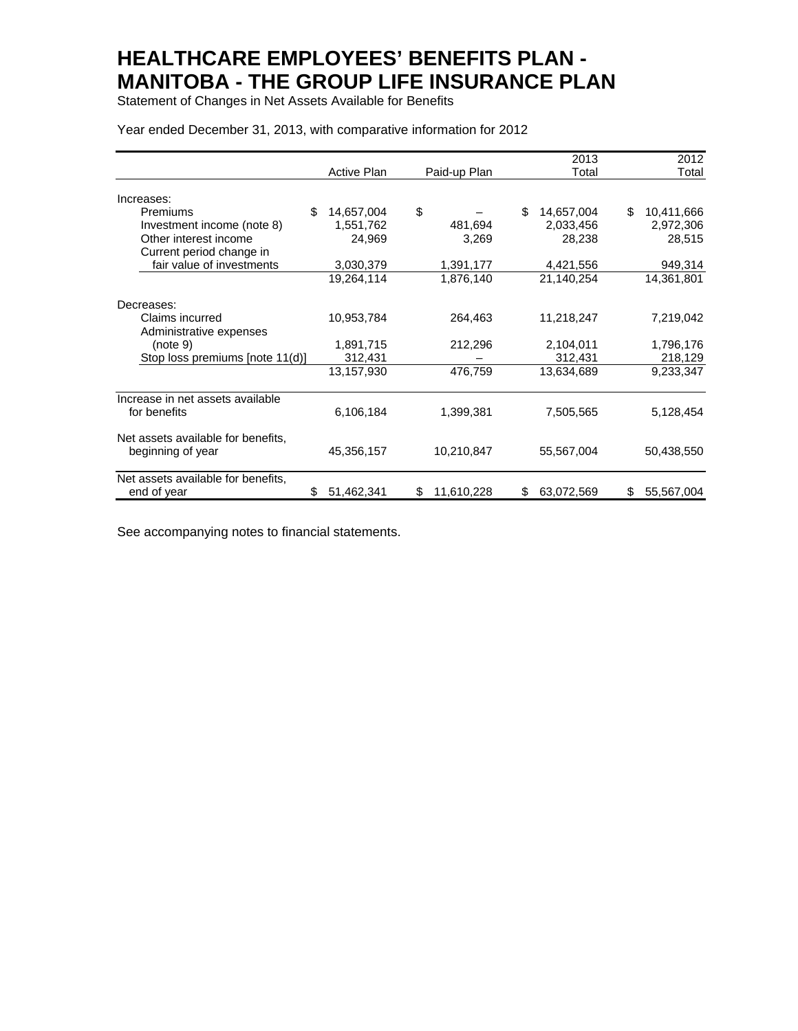Statement of Changes in Net Assets Available for Benefits

Year ended December 31, 2013, with comparative information for 2012

|                                    |                    |                  | 2013             | 2012             |
|------------------------------------|--------------------|------------------|------------------|------------------|
|                                    | <b>Active Plan</b> | Paid-up Plan     | Total            | Total            |
| Increases:                         |                    |                  |                  |                  |
| \$<br>Premiums                     | 14,657,004         | \$               | \$<br>14,657,004 | 10,411,666<br>\$ |
| Investment income (note 8)         | 1,551,762          | 481,694          | 2,033,456        | 2,972,306        |
| Other interest income              | 24,969             | 3,269            | 28,238           | 28,515           |
| Current period change in           |                    |                  |                  |                  |
| fair value of investments          | 3,030,379          | 1,391,177        | 4,421,556        | 949,314          |
|                                    | 19,264,114         | 1,876,140        | 21,140,254       | 14,361,801       |
| Decreases:                         |                    |                  |                  |                  |
| Claims incurred                    | 10,953,784         | 264,463          | 11,218,247       | 7,219,042        |
| Administrative expenses            |                    |                  |                  |                  |
| (note 9)                           | 1,891,715          | 212,296          | 2,104,011        | 1,796,176        |
| Stop loss premiums [note 11(d)]    | 312,431            |                  | 312,431          | 218,129          |
|                                    | 13,157,930         | 476,759          | 13,634,689       | 9,233,347        |
| Increase in net assets available   |                    |                  |                  |                  |
| for benefits                       | 6,106,184          | 1,399,381        | 7,505,565        | 5,128,454        |
| Net assets available for benefits, |                    |                  |                  |                  |
| beginning of year                  | 45,356,157         | 10,210,847       | 55,567,004       | 50,438,550       |
| Net assets available for benefits, |                    |                  |                  |                  |
| \$<br>end of year                  | 51,462,341         | \$<br>11,610,228 | 63,072,569<br>\$ | 55,567,004<br>\$ |

See accompanying notes to financial statements.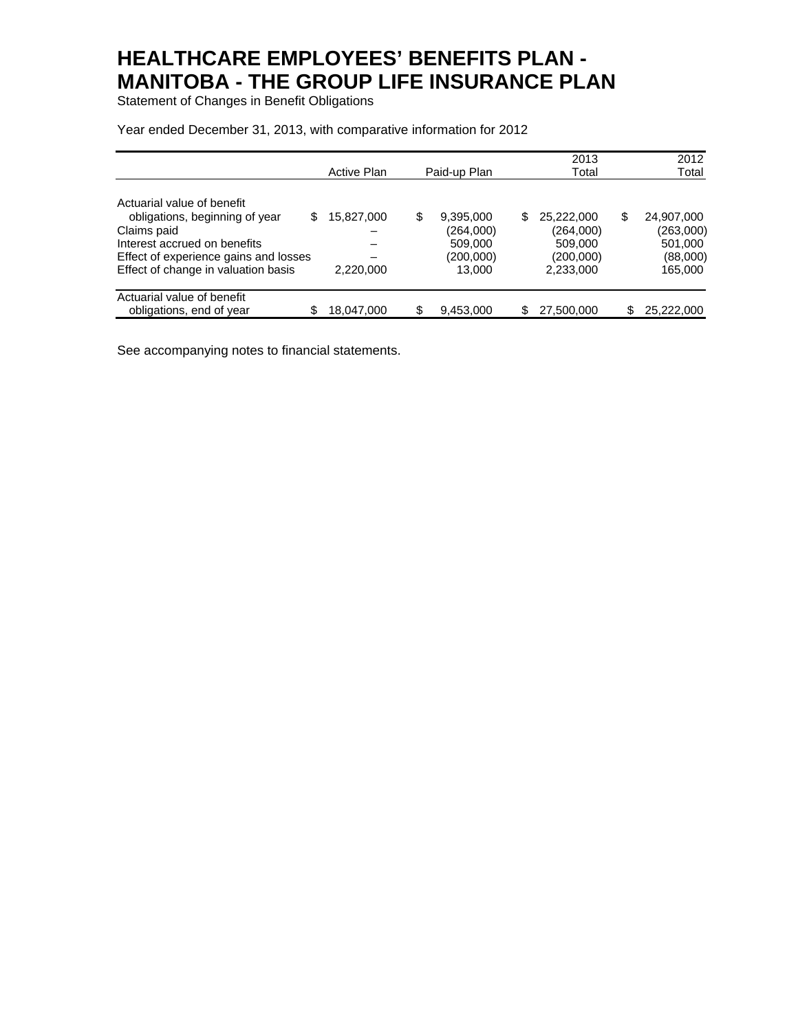Statement of Changes in Benefit Obligations

Year ended December 31, 2013, with comparative information for 2012

|                                                                                                                                                               |   | Active Plan             | Paid-up Plan                                                   | 2013<br>Total                                                      | 2012<br>Total                                                   |
|---------------------------------------------------------------------------------------------------------------------------------------------------------------|---|-------------------------|----------------------------------------------------------------|--------------------------------------------------------------------|-----------------------------------------------------------------|
| Actuarial value of benefit                                                                                                                                    |   |                         |                                                                |                                                                    |                                                                 |
| obligations, beginning of year<br>Claims paid<br>Interest accrued on benefits<br>Effect of experience gains and losses<br>Effect of change in valuation basis | S | 15,827,000<br>2,220,000 | \$<br>9,395,000<br>(264,000)<br>509,000<br>(200,000)<br>13.000 | \$<br>25,222,000<br>(264,000)<br>509,000<br>(200,000)<br>2,233,000 | \$<br>24,907,000<br>(263,000)<br>501,000<br>(88,000)<br>165,000 |
| Actuarial value of benefit<br>obligations, end of year                                                                                                        |   | 18,047,000              | 9,453,000                                                      | 27,500,000                                                         | 25,222,000                                                      |

See accompanying notes to financial statements.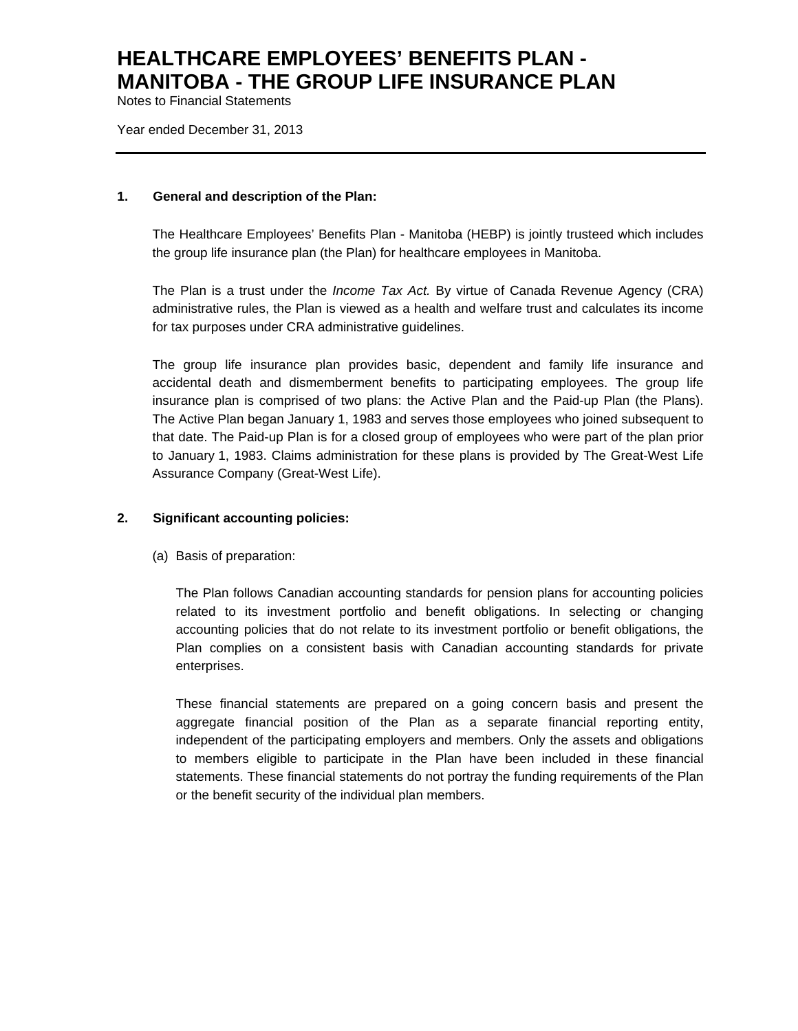Notes to Financial Statements

Year ended December 31, 2013

#### **1. General and description of the Plan:**

The Healthcare Employees' Benefits Plan - Manitoba (HEBP) is jointly trusteed which includes the group life insurance plan (the Plan) for healthcare employees in Manitoba.

The Plan is a trust under the *Income Tax Act.* By virtue of Canada Revenue Agency (CRA) administrative rules, the Plan is viewed as a health and welfare trust and calculates its income for tax purposes under CRA administrative guidelines.

The group life insurance plan provides basic, dependent and family life insurance and accidental death and dismemberment benefits to participating employees. The group life insurance plan is comprised of two plans: the Active Plan and the Paid-up Plan (the Plans). The Active Plan began January 1, 1983 and serves those employees who joined subsequent to that date. The Paid-up Plan is for a closed group of employees who were part of the plan prior to January 1, 1983. Claims administration for these plans is provided by The Great-West Life Assurance Company (Great-West Life).

#### **2. Significant accounting policies:**

(a) Basis of preparation:

The Plan follows Canadian accounting standards for pension plans for accounting policies related to its investment portfolio and benefit obligations. In selecting or changing accounting policies that do not relate to its investment portfolio or benefit obligations, the Plan complies on a consistent basis with Canadian accounting standards for private enterprises.

These financial statements are prepared on a going concern basis and present the aggregate financial position of the Plan as a separate financial reporting entity, independent of the participating employers and members. Only the assets and obligations to members eligible to participate in the Plan have been included in these financial statements. These financial statements do not portray the funding requirements of the Plan or the benefit security of the individual plan members.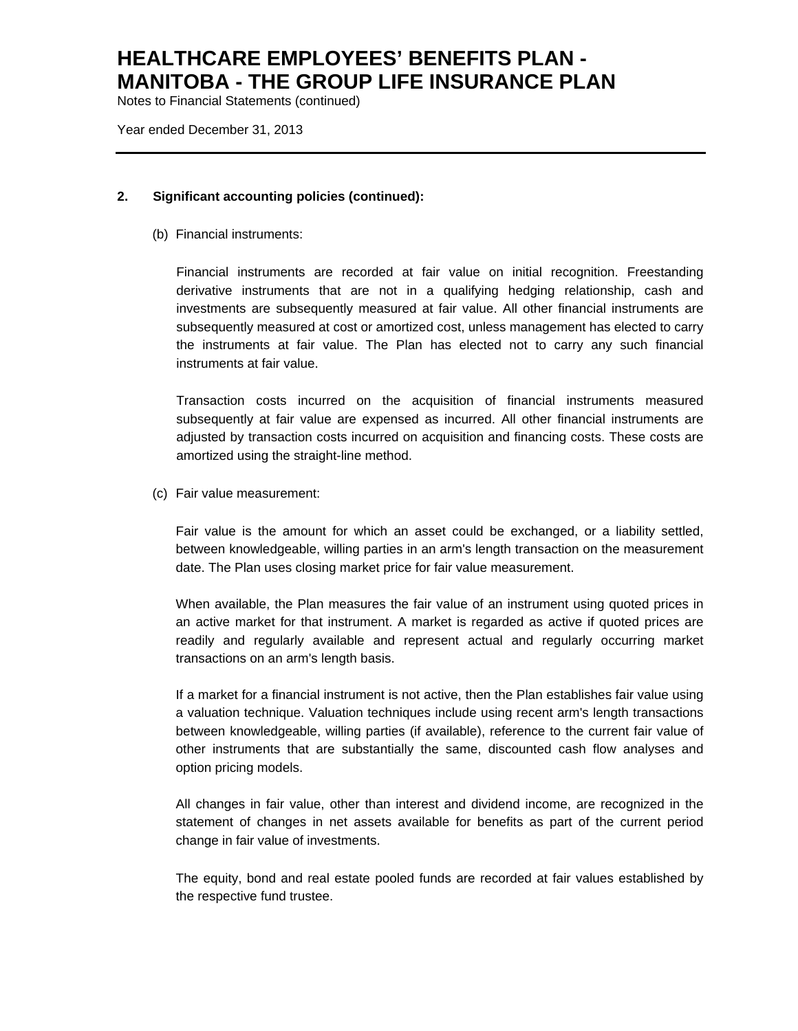Notes to Financial Statements (continued)

Year ended December 31, 2013

#### **2. Significant accounting policies (continued):**

(b) Financial instruments:

Financial instruments are recorded at fair value on initial recognition. Freestanding derivative instruments that are not in a qualifying hedging relationship, cash and investments are subsequently measured at fair value. All other financial instruments are subsequently measured at cost or amortized cost, unless management has elected to carry the instruments at fair value. The Plan has elected not to carry any such financial instruments at fair value.

Transaction costs incurred on the acquisition of financial instruments measured subsequently at fair value are expensed as incurred. All other financial instruments are adjusted by transaction costs incurred on acquisition and financing costs. These costs are amortized using the straight-line method.

(c) Fair value measurement:

Fair value is the amount for which an asset could be exchanged, or a liability settled, between knowledgeable, willing parties in an arm's length transaction on the measurement date. The Plan uses closing market price for fair value measurement.

When available, the Plan measures the fair value of an instrument using quoted prices in an active market for that instrument. A market is regarded as active if quoted prices are readily and regularly available and represent actual and regularly occurring market transactions on an arm's length basis.

If a market for a financial instrument is not active, then the Plan establishes fair value using a valuation technique. Valuation techniques include using recent arm's length transactions between knowledgeable, willing parties (if available), reference to the current fair value of other instruments that are substantially the same, discounted cash flow analyses and option pricing models.

All changes in fair value, other than interest and dividend income, are recognized in the statement of changes in net assets available for benefits as part of the current period change in fair value of investments.

The equity, bond and real estate pooled funds are recorded at fair values established by the respective fund trustee.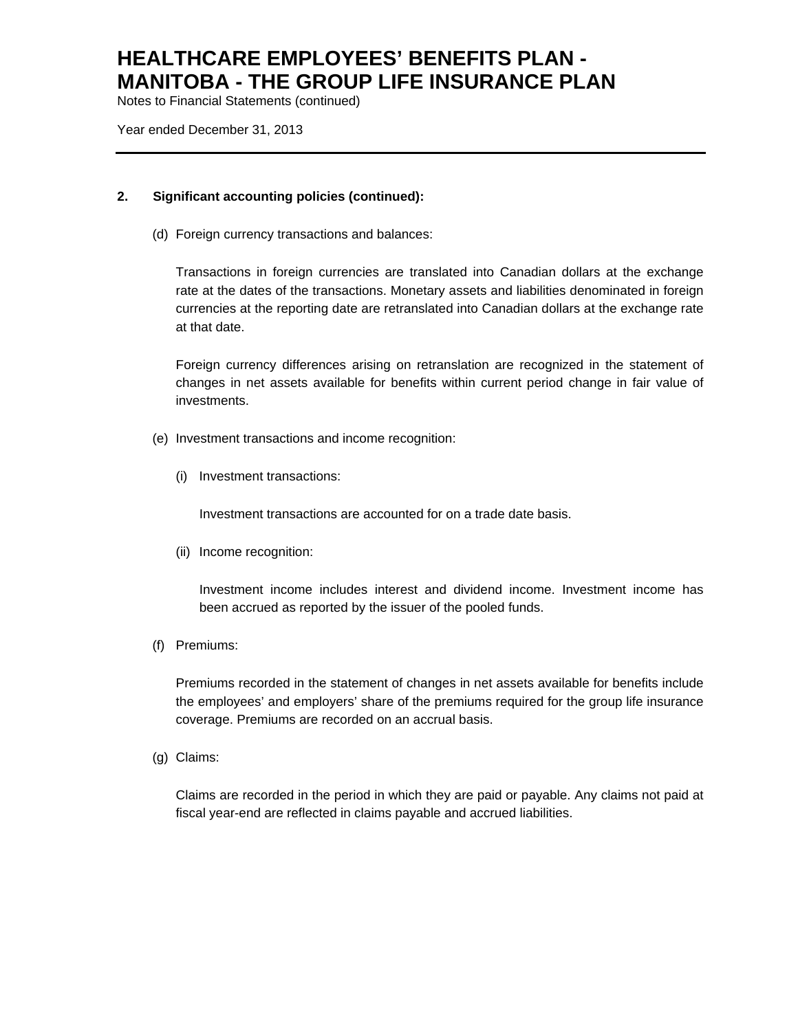Notes to Financial Statements (continued)

Year ended December 31, 2013

#### **2. Significant accounting policies (continued):**

(d) Foreign currency transactions and balances:

Transactions in foreign currencies are translated into Canadian dollars at the exchange rate at the dates of the transactions. Monetary assets and liabilities denominated in foreign currencies at the reporting date are retranslated into Canadian dollars at the exchange rate at that date.

Foreign currency differences arising on retranslation are recognized in the statement of changes in net assets available for benefits within current period change in fair value of investments.

- (e) Investment transactions and income recognition:
	- (i) Investment transactions:

Investment transactions are accounted for on a trade date basis.

(ii) Income recognition:

Investment income includes interest and dividend income. Investment income has been accrued as reported by the issuer of the pooled funds.

(f) Premiums:

Premiums recorded in the statement of changes in net assets available for benefits include the employees' and employers' share of the premiums required for the group life insurance coverage. Premiums are recorded on an accrual basis.

(g) Claims:

 Claims are recorded in the period in which they are paid or payable. Any claims not paid at fiscal year-end are reflected in claims payable and accrued liabilities.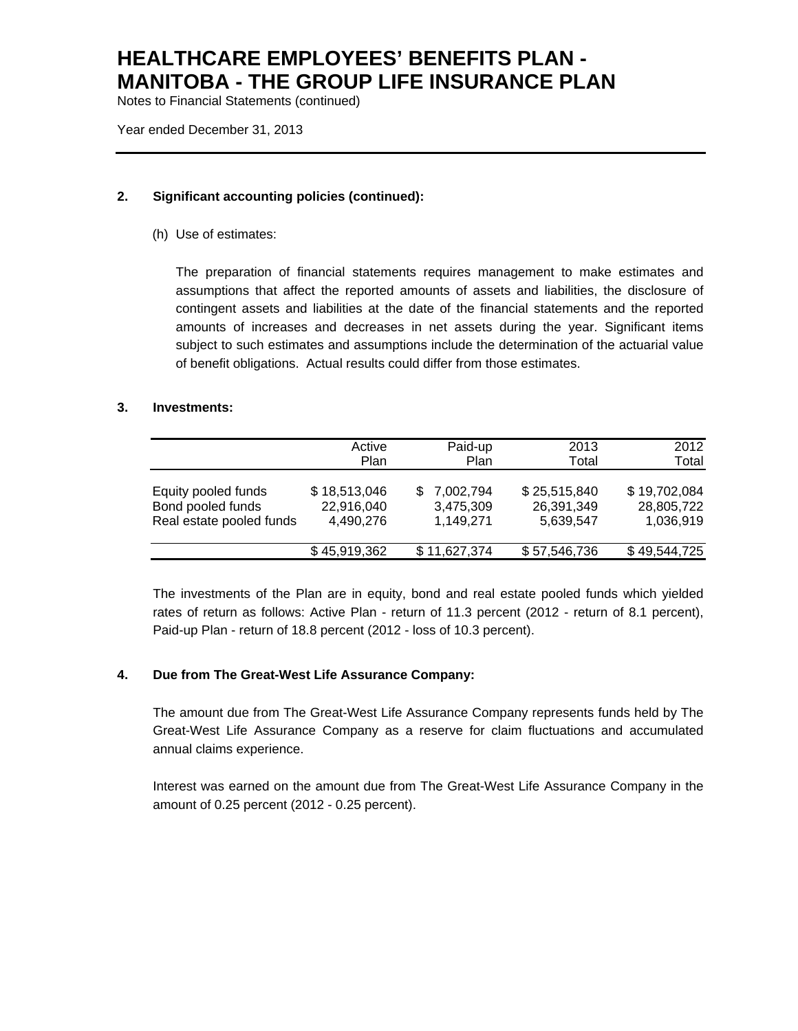Notes to Financial Statements (continued)

Year ended December 31, 2013

#### **2. Significant accounting policies (continued):**

(h) Use of estimates:

The preparation of financial statements requires management to make estimates and assumptions that affect the reported amounts of assets and liabilities, the disclosure of contingent assets and liabilities at the date of the financial statements and the reported amounts of increases and decreases in net assets during the year. Significant items subject to such estimates and assumptions include the determination of the actuarial value of benefit obligations. Actual results could differ from those estimates.

#### **3. Investments:**

|                          | Active       | Paid-up        | 2013         | 2012         |
|--------------------------|--------------|----------------|--------------|--------------|
|                          | Plan         | Plan           | Total        | Total        |
|                          |              |                |              |              |
| Equity pooled funds      | \$18,513,046 | 7,002,794<br>S | \$25,515,840 | \$19,702,084 |
| Bond pooled funds        | 22,916,040   | 3,475,309      | 26,391,349   | 28,805,722   |
| Real estate pooled funds | 4,490,276    | 1,149,271      | 5,639,547    | 1,036,919    |
|                          | \$45,919,362 | \$11,627,374   | \$57,546,736 | \$49,544,725 |
|                          |              |                |              |              |

The investments of the Plan are in equity, bond and real estate pooled funds which yielded rates of return as follows: Active Plan - return of 11.3 percent (2012 - return of 8.1 percent), Paid-up Plan - return of 18.8 percent (2012 - loss of 10.3 percent).

#### **4. Due from The Great-West Life Assurance Company:**

The amount due from The Great-West Life Assurance Company represents funds held by The Great-West Life Assurance Company as a reserve for claim fluctuations and accumulated annual claims experience.

Interest was earned on the amount due from The Great-West Life Assurance Company in the amount of 0.25 percent (2012 - 0.25 percent).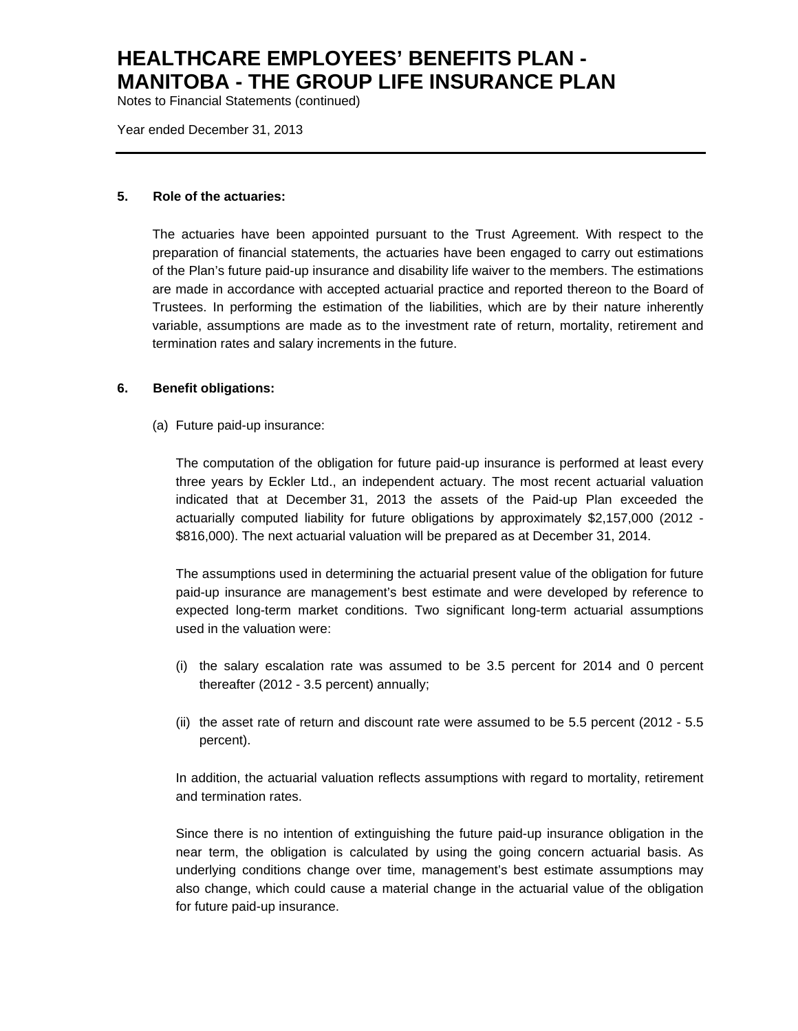Notes to Financial Statements (continued)

Year ended December 31, 2013

#### **5. Role of the actuaries:**

The actuaries have been appointed pursuant to the Trust Agreement. With respect to the preparation of financial statements, the actuaries have been engaged to carry out estimations of the Plan's future paid-up insurance and disability life waiver to the members. The estimations are made in accordance with accepted actuarial practice and reported thereon to the Board of Trustees. In performing the estimation of the liabilities, which are by their nature inherently variable, assumptions are made as to the investment rate of return, mortality, retirement and termination rates and salary increments in the future.

#### **6. Benefit obligations:**

(a) Future paid-up insurance:

The computation of the obligation for future paid-up insurance is performed at least every three years by Eckler Ltd., an independent actuary. The most recent actuarial valuation indicated that at December 31, 2013 the assets of the Paid-up Plan exceeded the actuarially computed liability for future obligations by approximately \$2,157,000 (2012 - \$816,000). The next actuarial valuation will be prepared as at December 31, 2014.

The assumptions used in determining the actuarial present value of the obligation for future paid-up insurance are management's best estimate and were developed by reference to expected long-term market conditions. Two significant long-term actuarial assumptions used in the valuation were:

- (i) the salary escalation rate was assumed to be 3.5 percent for 2014 and 0 percent thereafter (2012 - 3.5 percent) annually;
- (ii) the asset rate of return and discount rate were assumed to be 5.5 percent (2012 5.5 percent).

In addition, the actuarial valuation reflects assumptions with regard to mortality, retirement and termination rates.

Since there is no intention of extinguishing the future paid-up insurance obligation in the near term, the obligation is calculated by using the going concern actuarial basis. As underlying conditions change over time, management's best estimate assumptions may also change, which could cause a material change in the actuarial value of the obligation for future paid-up insurance.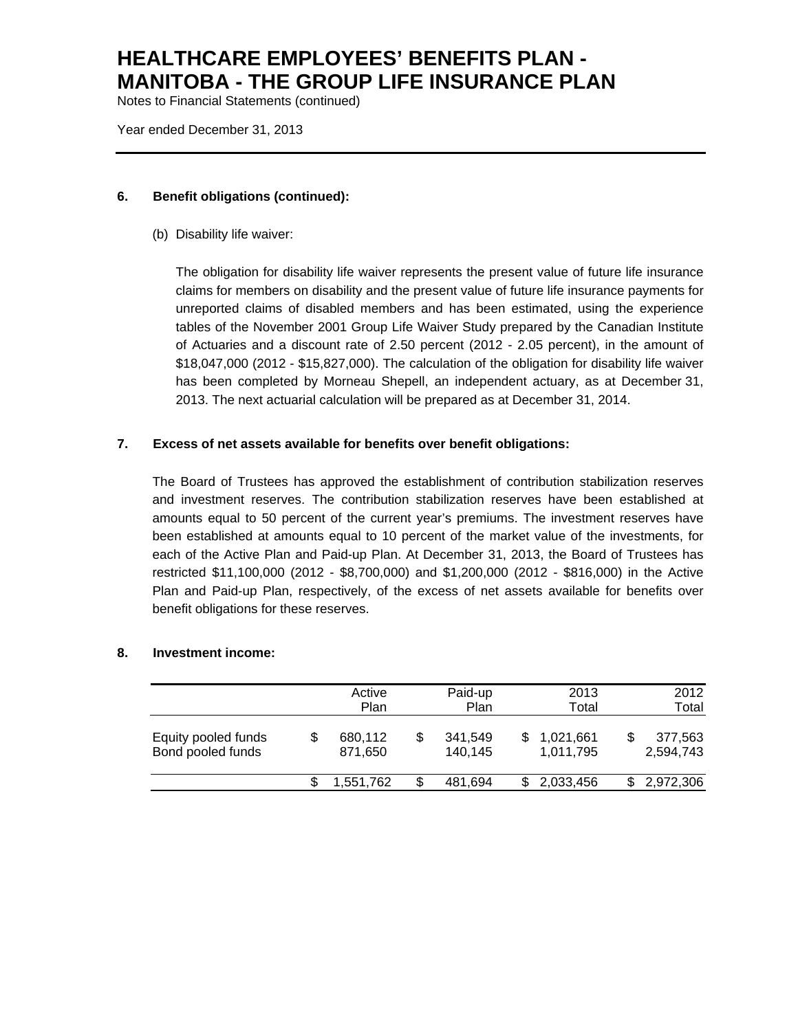Notes to Financial Statements (continued)

Year ended December 31, 2013

#### **6. Benefit obligations (continued):**

(b) Disability life waiver:

The obligation for disability life waiver represents the present value of future life insurance claims for members on disability and the present value of future life insurance payments for unreported claims of disabled members and has been estimated, using the experience tables of the November 2001 Group Life Waiver Study prepared by the Canadian Institute of Actuaries and a discount rate of 2.50 percent (2012 - 2.05 percent), in the amount of \$18,047,000 (2012 - \$15,827,000). The calculation of the obligation for disability life waiver has been completed by Morneau Shepell, an independent actuary, as at December 31, 2013. The next actuarial calculation will be prepared as at December 31, 2014.

#### **7. Excess of net assets available for benefits over benefit obligations:**

The Board of Trustees has approved the establishment of contribution stabilization reserves and investment reserves. The contribution stabilization reserves have been established at amounts equal to 50 percent of the current year's premiums. The investment reserves have been established at amounts equal to 10 percent of the market value of the investments, for each of the Active Plan and Paid-up Plan. At December 31, 2013, the Board of Trustees has restricted \$11,100,000 (2012 - \$8,700,000) and \$1,200,000 (2012 - \$816,000) in the Active Plan and Paid-up Plan, respectively, of the excess of net assets available for benefits over benefit obligations for these reserves.

#### **8. Investment income:**

|                                          | Active<br>Plan           | Paid-up<br>Plan          | 2013<br>Total          | 2012<br>Total        |
|------------------------------------------|--------------------------|--------------------------|------------------------|----------------------|
| Equity pooled funds<br>Bond pooled funds | \$<br>680,112<br>871,650 | \$<br>341,549<br>140.145 | 1,021,661<br>1,011,795 | 377,563<br>2,594,743 |
|                                          | 1.551.762                | \$<br>481.694            | 2,033,456              | 2,972,306            |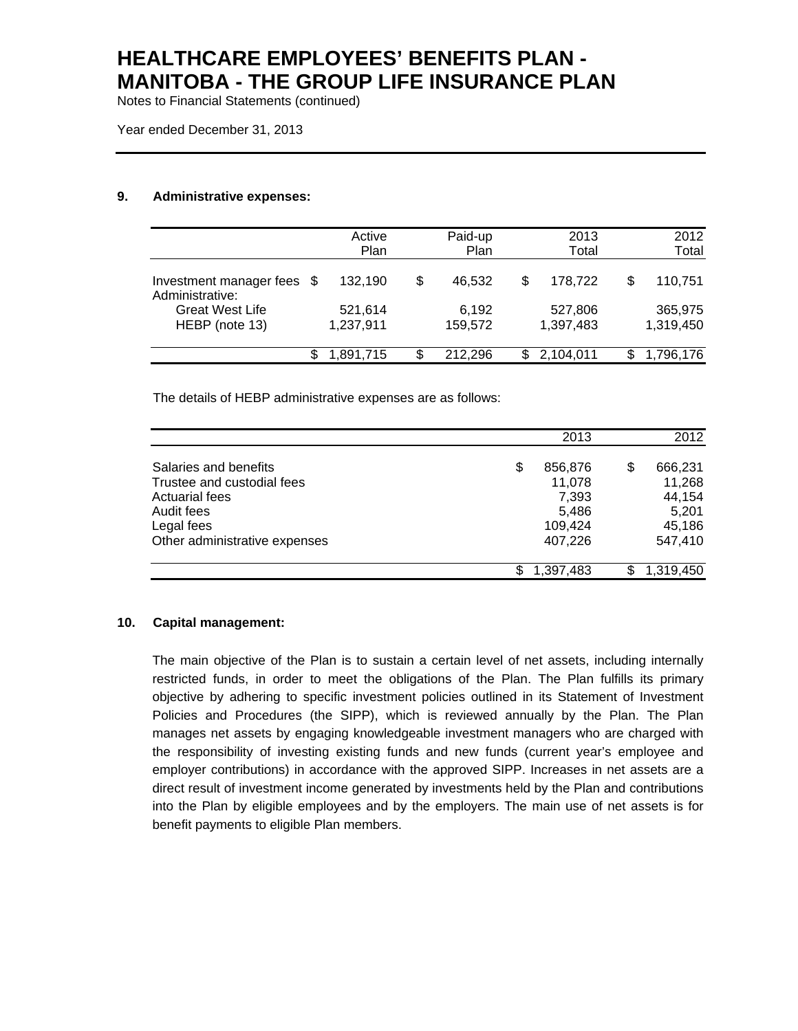Notes to Financial Statements (continued)

Year ended December 31, 2013

#### **9. Administrative expenses:**

|                                               | Active<br>Plan       | Paid-up<br>Plan  |   | 2013<br>Total        |   | 2012<br>Total        |
|-----------------------------------------------|----------------------|------------------|---|----------------------|---|----------------------|
| Investment manager fees \$<br>Administrative: | 132,190              | \$<br>46.532     | S | 178.722              | S | 110.751              |
| <b>Great West Life</b><br>HEBP (note 13)      | 521,614<br>1,237,911 | 6,192<br>159,572 |   | 527,806<br>1,397,483 |   | 365,975<br>1,319,450 |
|                                               | 1.891.715            | \$<br>212.296    | S | 2,104,011            |   | 1,796,176            |

The details of HEBP administrative expenses are as follows:

|                               | 2013          | 2012          |
|-------------------------------|---------------|---------------|
| Salaries and benefits         | \$<br>856,876 | \$<br>666,231 |
| Trustee and custodial fees    | 11,078        | 11,268        |
| <b>Actuarial fees</b>         | 7,393         | 44,154        |
| Audit fees                    | 5,486         | 5.201         |
| Legal fees                    | 109,424       | 45,186        |
| Other administrative expenses | 407,226       | 547,410       |
|                               | 1,397,483     | 1,319,450     |

#### **10. Capital management:**

The main objective of the Plan is to sustain a certain level of net assets, including internally restricted funds, in order to meet the obligations of the Plan. The Plan fulfills its primary objective by adhering to specific investment policies outlined in its Statement of Investment Policies and Procedures (the SIPP), which is reviewed annually by the Plan. The Plan manages net assets by engaging knowledgeable investment managers who are charged with the responsibility of investing existing funds and new funds (current year's employee and employer contributions) in accordance with the approved SIPP. Increases in net assets are a direct result of investment income generated by investments held by the Plan and contributions into the Plan by eligible employees and by the employers. The main use of net assets is for benefit payments to eligible Plan members.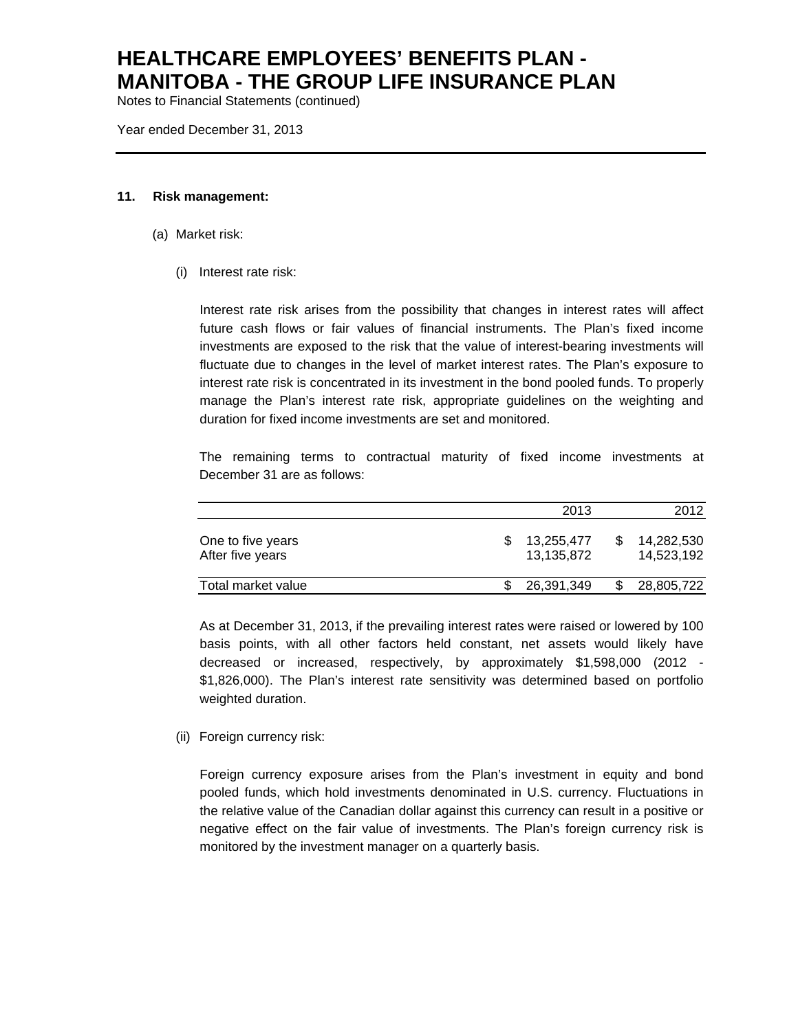Notes to Financial Statements (continued)

Year ended December 31, 2013

#### **11. Risk management:**

- (a) Market risk:
	- (i) Interest rate risk:

Interest rate risk arises from the possibility that changes in interest rates will affect future cash flows or fair values of financial instruments. The Plan's fixed income investments are exposed to the risk that the value of interest-bearing investments will fluctuate due to changes in the level of market interest rates. The Plan's exposure to interest rate risk is concentrated in its investment in the bond pooled funds. To properly manage the Plan's interest rate risk, appropriate guidelines on the weighting and duration for fixed income investments are set and monitored.

The remaining terms to contractual maturity of fixed income investments at December 31 are as follows:

|                                       | 2013                     | 2012                     |
|---------------------------------------|--------------------------|--------------------------|
| One to five years<br>After five years | 13,255,477<br>13.135.872 | 14,282,530<br>14.523.192 |
| Total market value                    | 26.391.349               | 28,805,722               |

As at December 31, 2013, if the prevailing interest rates were raised or lowered by 100 basis points, with all other factors held constant, net assets would likely have decreased or increased, respectively, by approximately \$1,598,000 (2012 - \$1,826,000). The Plan's interest rate sensitivity was determined based on portfolio weighted duration.

(ii) Foreign currency risk:

Foreign currency exposure arises from the Plan's investment in equity and bond pooled funds, which hold investments denominated in U.S. currency. Fluctuations in the relative value of the Canadian dollar against this currency can result in a positive or negative effect on the fair value of investments. The Plan's foreign currency risk is monitored by the investment manager on a quarterly basis.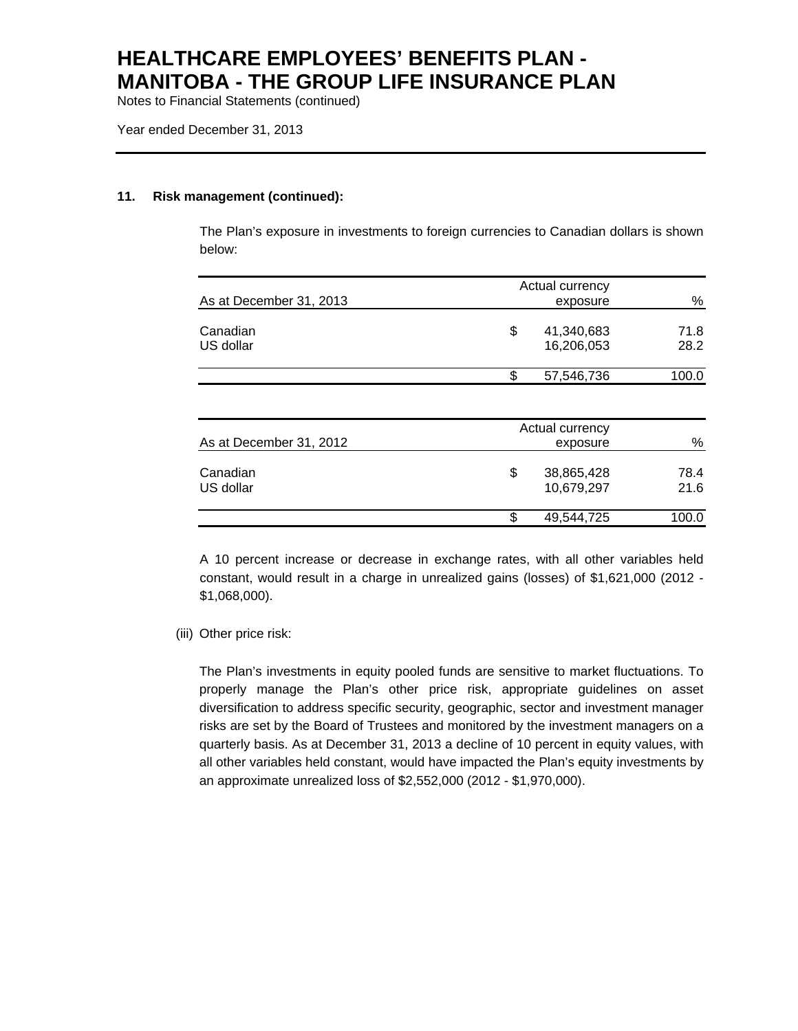Notes to Financial Statements (continued)

Year ended December 31, 2013

#### **11. Risk management (continued):**

The Plan's exposure in investments to foreign currencies to Canadian dollars is shown below:

| As at December 31, 2013 | Actual currency<br>exposure    | %            |
|-------------------------|--------------------------------|--------------|
| Canadian<br>US dollar   | \$<br>41,340,683<br>16,206,053 | 71.8<br>28.2 |
|                         | \$<br>57,546,736               | 100.0        |
| As at December 31, 2012 | Actual currency<br>exposure    | %            |
| Canadian<br>US dollar   | \$<br>38,865,428<br>10,679,297 | 78.4<br>21.6 |
|                         | \$<br>49,544,725               | 100.0        |

A 10 percent increase or decrease in exchange rates, with all other variables held constant, would result in a charge in unrealized gains (losses) of \$1,621,000 (2012 - \$1,068,000).

#### (iii) Other price risk:

The Plan's investments in equity pooled funds are sensitive to market fluctuations. To properly manage the Plan's other price risk, appropriate guidelines on asset diversification to address specific security, geographic, sector and investment manager risks are set by the Board of Trustees and monitored by the investment managers on a quarterly basis. As at December 31, 2013 a decline of 10 percent in equity values, with all other variables held constant, would have impacted the Plan's equity investments by an approximate unrealized loss of \$2,552,000 (2012 - \$1,970,000).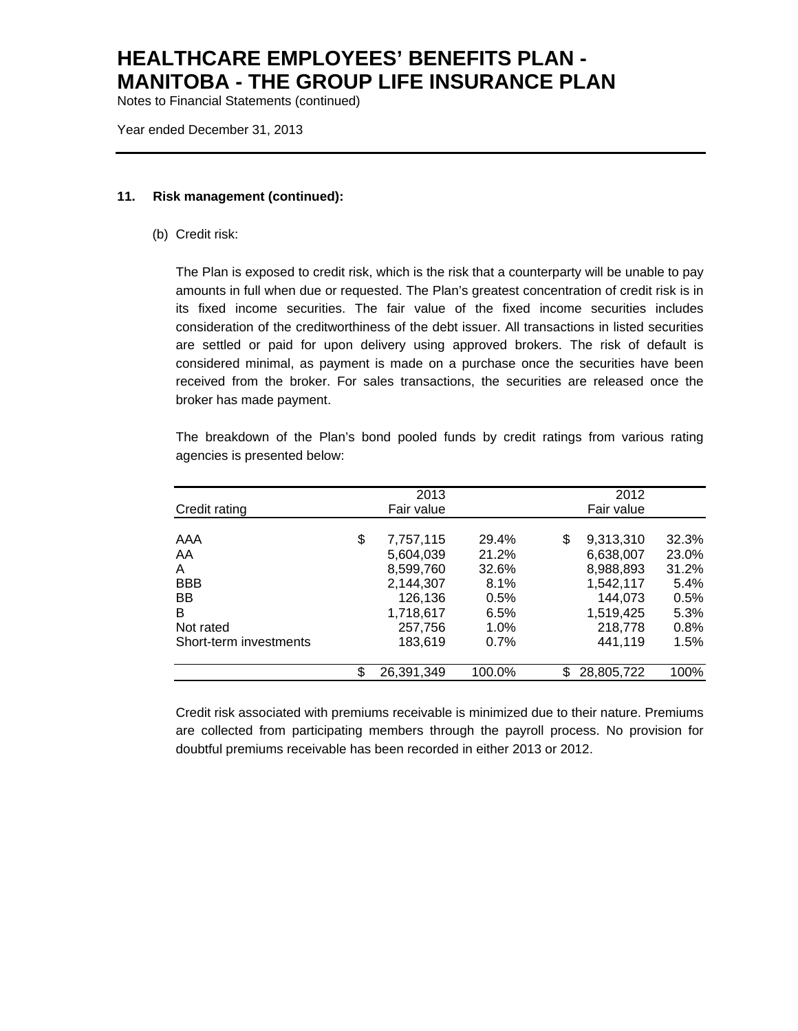Notes to Financial Statements (continued)

Year ended December 31, 2013

#### **11. Risk management (continued):**

(b) Credit risk:

The Plan is exposed to credit risk, which is the risk that a counterparty will be unable to pay amounts in full when due or requested. The Plan's greatest concentration of credit risk is in its fixed income securities. The fair value of the fixed income securities includes consideration of the creditworthiness of the debt issuer. All transactions in listed securities are settled or paid for upon delivery using approved brokers. The risk of default is considered minimal, as payment is made on a purchase once the securities have been received from the broker. For sales transactions, the securities are released once the broker has made payment.

The breakdown of the Plan's bond pooled funds by credit ratings from various rating agencies is presented below:

|                        | 2013             |         |     | 2012       |         |
|------------------------|------------------|---------|-----|------------|---------|
| Credit rating          | Fair value       |         |     | Fair value |         |
|                        |                  |         |     |            |         |
| AAA                    | \$<br>7,757,115  | 29.4%   | S   | 9,313,310  | 32.3%   |
| AA                     | 5,604,039        | 21.2%   |     | 6,638,007  | 23.0%   |
| A                      | 8,599,760        | 32.6%   |     | 8,988,893  | 31.2%   |
| <b>BBB</b>             | 2,144,307        | 8.1%    |     | 1,542,117  | 5.4%    |
| <b>BB</b>              | 126,136          | 0.5%    |     | 144,073    | 0.5%    |
| B                      | 1,718,617        | 6.5%    |     | 1,519,425  | 5.3%    |
| Not rated              | 257,756          | $1.0\%$ |     | 218,778    | 0.8%    |
| Short-term investments | 183.619          | 0.7%    |     | 441.119    | $1.5\%$ |
|                        | \$<br>26,391,349 | 100.0%  | \$. | 28,805,722 | 100%    |

Credit risk associated with premiums receivable is minimized due to their nature. Premiums are collected from participating members through the payroll process. No provision for doubtful premiums receivable has been recorded in either 2013 or 2012.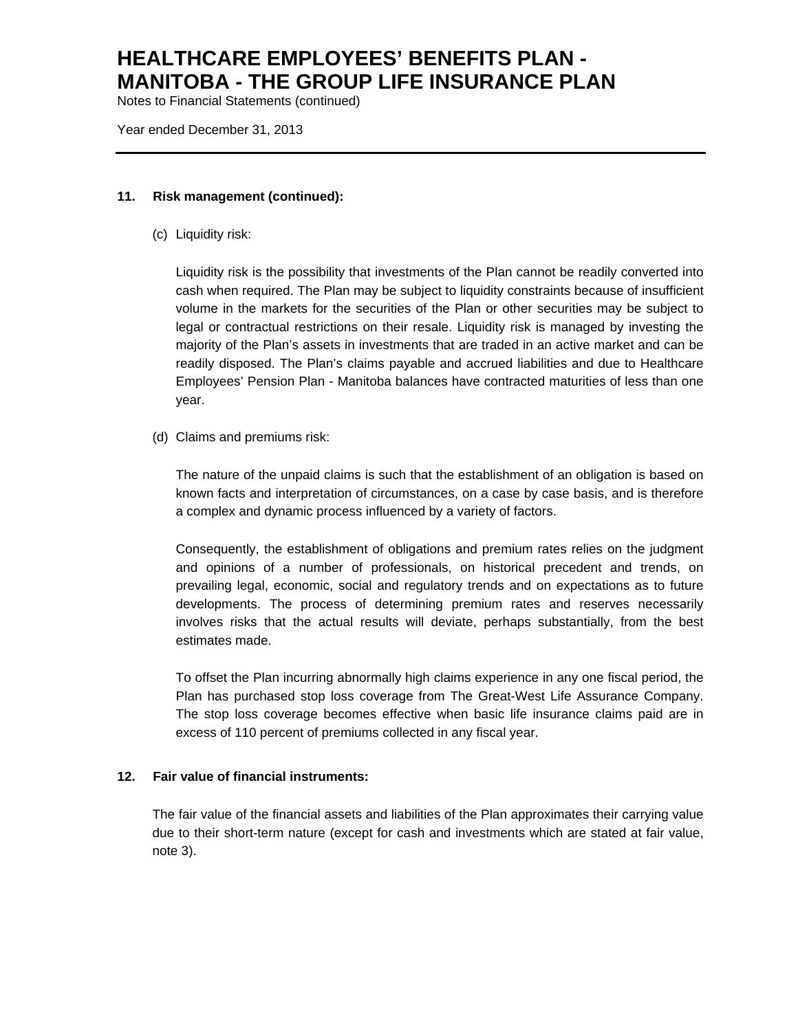Notes to Financial Statements (continued)

Year ended December 31, 2013

#### **11. Risk management (continued):**

(c) Liquidity risk:

Liquidity risk is the possibility that investments of the Plan cannot be readily converted into cash when required. The Plan may be subject to liquidity constraints because of insufficient volume in the markets for the securities of the Plan or other securities may be subject to legal or contractual restrictions on their resale. Liquidity risk is managed by investing the majority of the Plan's assets in investments that are traded in an active market and can be readily disposed. The Plan's claims payable and accrued liabilities and due to Healthcare Employees' Pension Plan - Manitoba balances have contracted maturities of less than one year.

(d) Claims and premiums risk:

The nature of the unpaid claims is such that the establishment of an obligation is based on known facts and interpretation of circumstances, on a case by case basis, and is therefore a complex and dynamic process influenced by a variety of factors.

Consequently, the establishment of obligations and premium rates relies on the judgment and opinions of a number of professionals, on historical precedent and trends, on prevailing legal, economic, social and regulatory trends and on expectations as to future developments. The process of determining premium rates and reserves necessarily involves risks that the actual results will deviate, perhaps substantially, from the best estimates made.

To offset the Plan incurring abnormally high claims experience in any one fiscal period, the Plan has purchased stop loss coverage from The Great-West Life Assurance Company. The stop loss coverage becomes effective when basic life insurance claims paid are in excess of 110 percent of premiums collected in any fiscal year.

#### **12. Fair value of financial instruments:**

The fair value of the financial assets and liabilities of the Plan approximates their carrying value due to their short-term nature (except for cash and investments which are stated at fair value, note 3).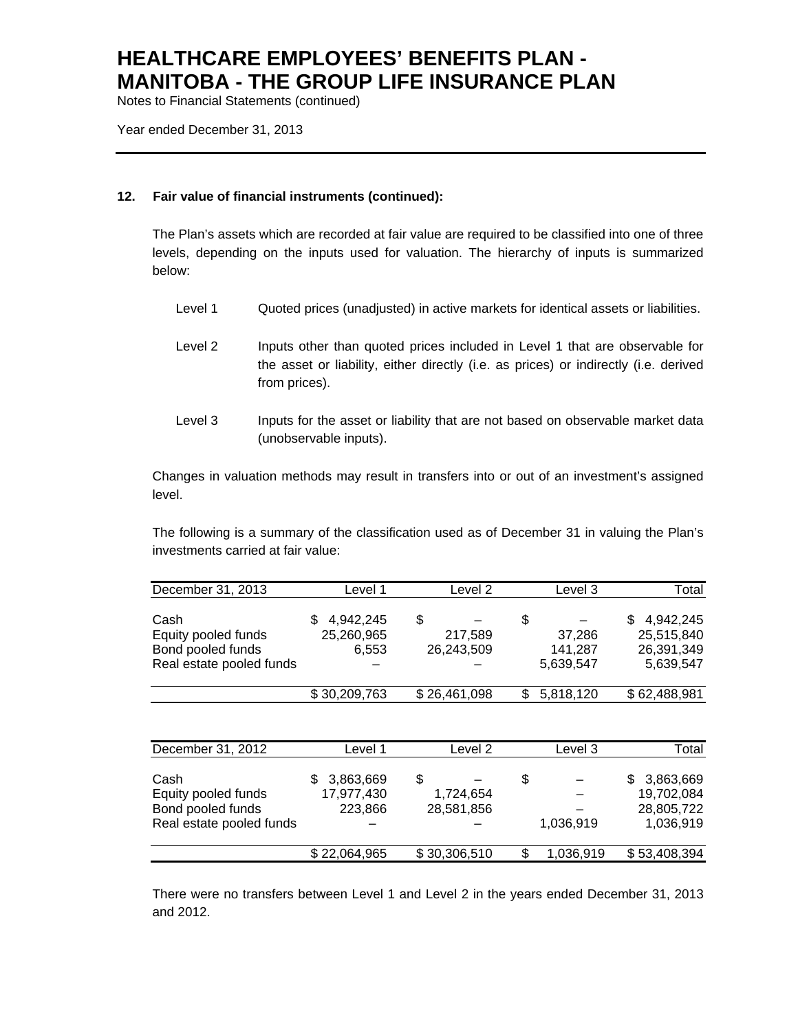Notes to Financial Statements (continued)

Year ended December 31, 2013

#### **12. Fair value of financial instruments (continued):**

The Plan's assets which are recorded at fair value are required to be classified into one of three levels, depending on the inputs used for valuation. The hierarchy of inputs is summarized below:

- Level 1 Quoted prices (unadjusted) in active markets for identical assets or liabilities.
- Level 2 Inputs other than quoted prices included in Level 1 that are observable for the asset or liability, either directly (i.e. as prices) or indirectly (i.e. derived from prices).
- Level 3 Inputs for the asset or liability that are not based on observable market data (unobservable inputs).

Changes in valuation methods may result in transfers into or out of an investment's assigned level.

The following is a summary of the classification used as of December 31 in valuing the Plan's investments carried at fair value:

| December 31, 2013                                                            | Level 1                                | Level 2                       | Level 3                              | Total                                                    |
|------------------------------------------------------------------------------|----------------------------------------|-------------------------------|--------------------------------------|----------------------------------------------------------|
| Cash<br>Equity pooled funds<br>Bond pooled funds<br>Real estate pooled funds | 4,942,245<br>\$<br>25,260,965<br>6,553 | \$<br>217,589<br>26,243,509   | \$<br>37,286<br>141,287<br>5,639,547 | \$<br>4,942,245<br>25,515,840<br>26,391,349<br>5,639,547 |
|                                                                              | \$30,209,763                           | \$26,461,098                  | 5,818,120<br>\$                      | \$62,488,981                                             |
| December 31, 2012                                                            | Level 1                                | Level <sub>2</sub>            | Level 3                              | Total                                                    |
| Cash<br>Equity pooled funds<br>Bond pooled funds<br>Real estate pooled funds | 3,863,669<br>17,977,430<br>223,866     | \$<br>1,724,654<br>28,581,856 | \$<br>1,036,919                      | \$<br>3,863,669<br>19,702,084<br>28,805,722<br>1,036,919 |
|                                                                              | \$22,064,965                           | \$30,306,510                  | \$<br>1,036,919                      | \$53,408,394                                             |

There were no transfers between Level 1 and Level 2 in the years ended December 31, 2013 and 2012.